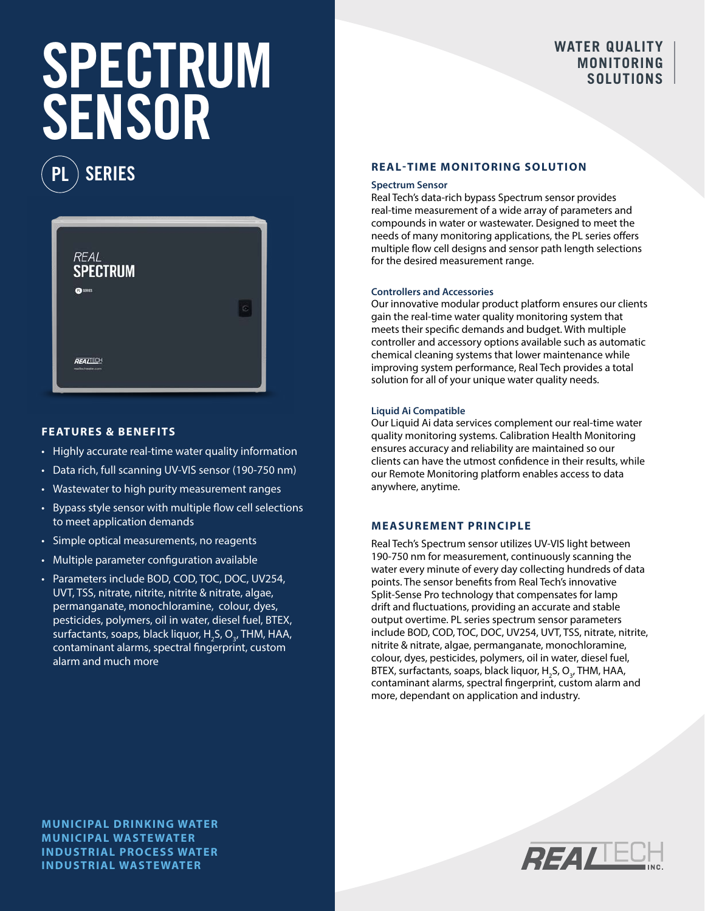# **SPECTRUM** WATER QUALITY SENSOR

SERIES



## **FEATURES & BENEFITS**

- Highly accurate real-time water quality information
- Data rich, full scanning UV-VIS sensor (190-750 nm)
- Wastewater to high purity measurement ranges
- Bypass style sensor with multiple flow cell selections to meet application demands
- Simple optical measurements, no reagents
- Multiple parameter configuration available
- Parameters include BOD, COD, TOC, DOC, UV254, UVT, TSS, nitrate, nitrite, nitrite & nitrate, algae, permanganate, monochloramine, colour, dyes, pesticides, polymers, oil in water, diesel fuel, BTEX, surfactants, soaps, black liquor, H<sub>2</sub>S, O<sub>3</sub>, THM, HAA, contaminant alarms, spectral fingerprint, custom alarm and much more

### **REAL-TIME MONITORING SOLUTION**

#### **Spectrum Sensor**

Real Tech's data-rich bypass Spectrum sensor provides real-time measurement of a wide array of parameters and compounds in water or wastewater. Designed to meet the needs of many monitoring applications, the PL series offers multiple flow cell designs and sensor path length selections for the desired measurement range.

### **Controllers and Accessories**

Our innovative modular product platform ensures our clients gain the real-time water quality monitoring system that meets their specific demands and budget. With multiple controller and accessory options available such as automatic chemical cleaning systems that lower maintenance while improving system performance, Real Tech provides a total solution for all of your unique water quality needs.

### **Liquid Ai Compatible**

Our Liquid Ai data services complement our real-time water quality monitoring systems. Calibration Health Monitoring ensures accuracy and reliability are maintained so our clients can have the utmost confidence in their results, while our Remote Monitoring platform enables access to data anywhere, anytime.

### **MEASUREMENT PRINCIPLE**

Real Tech's Spectrum sensor utilizes UV-VIS light between 190-750 nm for measurement, continuously scanning the water every minute of every day collecting hundreds of data points. The sensor benefits from Real Tech's innovative Split-Sense Pro technology that compensates for lamp drift and fluctuations, providing an accurate and stable output overtime. PL series spectrum sensor parameters include BOD, COD, TOC, DOC, UV254, UVT, TSS, nitrate, nitrite, nitrite & nitrate, algae, permanganate, monochloramine, colour, dyes, pesticides, polymers, oil in water, diesel fuel, BTEX, surfactants, soaps, black liquor, H<sub>2</sub>S, O<sub>3</sub>, THM, HAA, contaminant alarms, spectral fingerprint, custom alarm and more, dependant on application and industry.



**MUNICIPAL DRINKING WATER MUNICIPAL WASTEWATER INDUSTRIAL PROCESS WATER INDUSTRIAL WASTEWATER**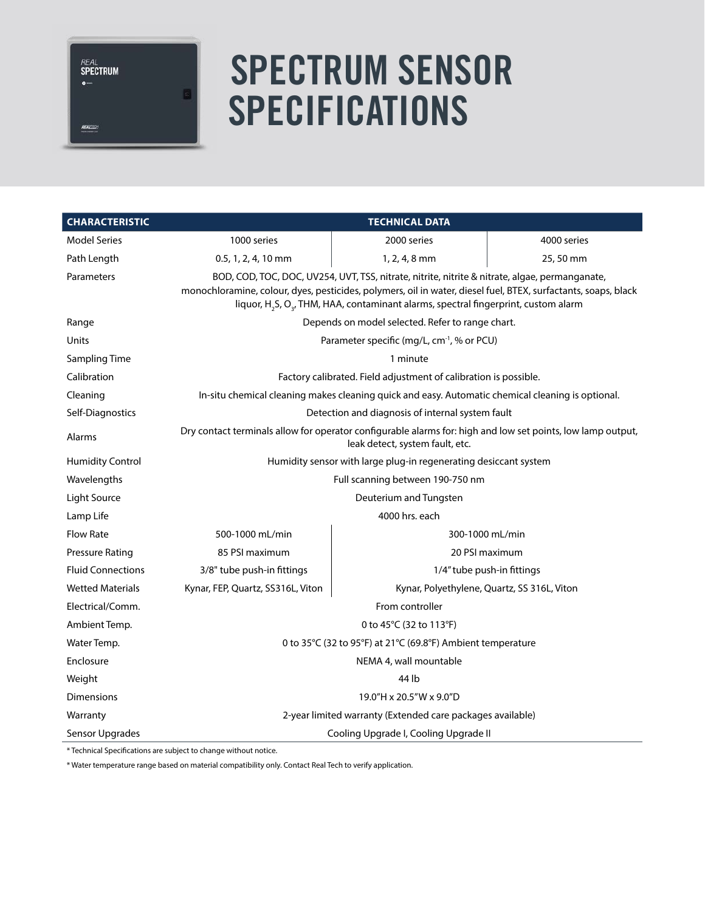**REAL**<br>**SPECTRUM**  $\bullet$  .

REALIED

# SPECTRUM SENSOR **SPECIFICATIONS**

| <b>CHARACTERISTIC</b>    | <b>TECHNICAL DATA</b>                                                                                                                                                                                                                                                                                                           |                            |             |  |  |
|--------------------------|---------------------------------------------------------------------------------------------------------------------------------------------------------------------------------------------------------------------------------------------------------------------------------------------------------------------------------|----------------------------|-------------|--|--|
| <b>Model Series</b>      | 1000 series                                                                                                                                                                                                                                                                                                                     | 2000 series                | 4000 series |  |  |
| Path Length              | $0.5, 1, 2, 4, 10$ mm                                                                                                                                                                                                                                                                                                           | $1, 2, 4, 8$ mm            | 25,50 mm    |  |  |
| Parameters               | BOD, COD, TOC, DOC, UV254, UVT, TSS, nitrate, nitrite, nitrite & nitrate, algae, permanganate,<br>monochloramine, colour, dyes, pesticides, polymers, oil in water, diesel fuel, BTEX, surfactants, soaps, black<br>liquor, H <sub>2</sub> S, O <sub>3</sub> , THM, HAA, contaminant alarms, spectral fingerprint, custom alarm |                            |             |  |  |
| Range                    | Depends on model selected. Refer to range chart.                                                                                                                                                                                                                                                                                |                            |             |  |  |
| Units                    | Parameter specific (mg/L, cm <sup>-1</sup> , % or PCU)                                                                                                                                                                                                                                                                          |                            |             |  |  |
| Sampling Time            | 1 minute                                                                                                                                                                                                                                                                                                                        |                            |             |  |  |
| Calibration              | Factory calibrated. Field adjustment of calibration is possible.                                                                                                                                                                                                                                                                |                            |             |  |  |
| Cleaning                 | In-situ chemical cleaning makes cleaning quick and easy. Automatic chemical cleaning is optional.                                                                                                                                                                                                                               |                            |             |  |  |
| Self-Diagnostics         | Detection and diagnosis of internal system fault                                                                                                                                                                                                                                                                                |                            |             |  |  |
| Alarms                   | Dry contact terminals allow for operator configurable alarms for: high and low set points, low lamp output,<br>leak detect, system fault, etc.                                                                                                                                                                                  |                            |             |  |  |
| <b>Humidity Control</b>  | Humidity sensor with large plug-in regenerating desiccant system                                                                                                                                                                                                                                                                |                            |             |  |  |
| Wavelengths              | Full scanning between 190-750 nm                                                                                                                                                                                                                                                                                                |                            |             |  |  |
| Light Source             | Deuterium and Tungsten                                                                                                                                                                                                                                                                                                          |                            |             |  |  |
| Lamp Life                | 4000 hrs. each                                                                                                                                                                                                                                                                                                                  |                            |             |  |  |
| <b>Flow Rate</b>         | 500-1000 mL/min                                                                                                                                                                                                                                                                                                                 | 300-1000 mL/min            |             |  |  |
| Pressure Rating          | 85 PSI maximum                                                                                                                                                                                                                                                                                                                  | 20 PSI maximum             |             |  |  |
| <b>Fluid Connections</b> | 3/8" tube push-in fittings                                                                                                                                                                                                                                                                                                      | 1/4" tube push-in fittings |             |  |  |
| <b>Wetted Materials</b>  | Kynar, FEP, Quartz, SS316L, Viton<br>Kynar, Polyethylene, Quartz, SS 316L, Viton                                                                                                                                                                                                                                                |                            |             |  |  |
| Electrical/Comm.         | From controller                                                                                                                                                                                                                                                                                                                 |                            |             |  |  |
| Ambient Temp.            | 0 to 45°C (32 to 113°F)                                                                                                                                                                                                                                                                                                         |                            |             |  |  |
| Water Temp.              | 0 to 35°C (32 to 95°F) at 21°C (69.8°F) Ambient temperature                                                                                                                                                                                                                                                                     |                            |             |  |  |
| Enclosure                | NEMA 4, wall mountable                                                                                                                                                                                                                                                                                                          |                            |             |  |  |
| Weight                   | 44 lb                                                                                                                                                                                                                                                                                                                           |                            |             |  |  |
| <b>Dimensions</b>        | 19.0"H x 20.5"W x 9.0"D                                                                                                                                                                                                                                                                                                         |                            |             |  |  |
| Warranty                 | 2-year limited warranty (Extended care packages available)                                                                                                                                                                                                                                                                      |                            |             |  |  |
| Sensor Upgrades          | Cooling Upgrade I, Cooling Upgrade II                                                                                                                                                                                                                                                                                           |                            |             |  |  |

\* Technical Specifications are subject to change without notice.

\* Water temperature range based on material compatibility only. Contact Real Tech to verify application.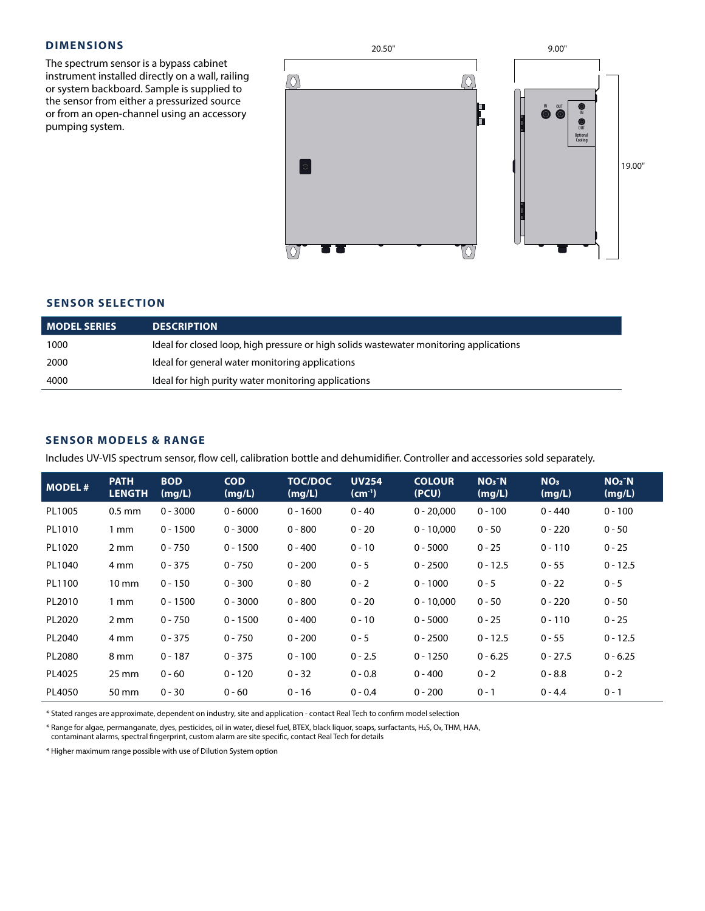### **DIMENSIONS**

The spectrum sensor is a bypass cabinet instrument installed directly on a wall, railing or system backboard. Sample is supplied to the sensor from either a pressurized source or from an open-channel using an accessory pumping system.



### **SENSOR SELECTION**

| <b>MODEL SERIES</b> | <b>DESCRIPTION</b>                                                                     |
|---------------------|----------------------------------------------------------------------------------------|
| 1000                | Ideal for closed loop, high pressure or high solids wastewater monitoring applications |
| 2000                | Ideal for general water monitoring applications                                        |
| 4000                | Ideal for high purity water monitoring applications                                    |

### **SENSOR MODELS & RANGE**

Includes UV-VIS spectrum sensor, flow cell, calibration bottle and dehumidifier. Controller and accessories sold separately.

| <b>MODEL#</b> | <b>PATH</b><br><b>LENGTH</b> | <b>BOD</b><br>(mg/L) | <b>COD</b><br>(mg/L) | <b>TOC/DOC</b><br>(mg/L) | <b>UV254</b><br>$(cm-1)$ | <b>COLOUR</b><br>(PCU) | $NO3^-N$<br>(mg/L) | NO <sub>3</sub><br>(mg/L) | $NO2^-N$<br>(mg/L) |
|---------------|------------------------------|----------------------|----------------------|--------------------------|--------------------------|------------------------|--------------------|---------------------------|--------------------|
| PL1005        | $0.5$ mm                     | $0 - 3000$           | $0 - 6000$           | $0 - 1600$               | $0 - 40$                 | $0 - 20,000$           | $0 - 100$          | $0 - 440$                 | $0 - 100$          |
| PL1010        | 1 mm                         | $0 - 1500$           | $0 - 3000$           | $0 - 800$                | $0 - 20$                 | $0 - 10,000$           | $0 - 50$           | $0 - 220$                 | $0 - 50$           |
| PL1020        | 2 mm                         | $0 - 750$            | $0 - 1500$           | $0 - 400$                | $0 - 10$                 | $0 - 5000$             | $0 - 25$           | $0 - 110$                 | $0 - 25$           |
| PL1040        | 4 mm                         | $0 - 375$            | $0 - 750$            | $0 - 200$                | $0 - 5$                  | $0 - 2500$             | $0 - 12.5$         | $0 - 55$                  | $0 - 12.5$         |
| PL1100        | $10 \text{ mm}$              | $0 - 150$            | $0 - 300$            | $0 - 80$                 | $0 - 2$                  | $0 - 1000$             | $0 - 5$            | $0 - 22$                  | $0 - 5$            |
| PL2010        | 1 mm                         | $0 - 1500$           | $0 - 3000$           | $0 - 800$                | $0 - 20$                 | $0 - 10,000$           | $0 - 50$           | $0 - 220$                 | $0 - 50$           |
| PL2020        | 2 mm                         | $0 - 750$            | $0 - 1500$           | $0 - 400$                | $0 - 10$                 | $0 - 5000$             | $0 - 25$           | $0 - 110$                 | $0 - 25$           |
| PL2040        | 4 mm                         | $0 - 375$            | $0 - 750$            | $0 - 200$                | $0 - 5$                  | $0 - 2500$             | $0 - 12.5$         | $0 - 55$                  | $0 - 12.5$         |
| PL2080        | 8 mm                         | $0 - 187$            | $0 - 375$            | $0 - 100$                | $0 - 2.5$                | $0 - 1250$             | $0 - 6.25$         | $0 - 27.5$                | $0 - 6.25$         |
| PL4025        | 25 mm                        | $0 - 60$             | $0 - 120$            | $0 - 32$                 | $0 - 0.8$                | $0 - 400$              | $0 - 2$            | $0 - 8.8$                 | $0 - 2$            |
| PL4050        | 50 mm                        | $0 - 30$             | $0 - 60$             | $0 - 16$                 | $0 - 0.4$                | $0 - 200$              | $0 - 1$            | $0 - 4.4$                 | $0 - 1$            |

\* Stated ranges are approximate, dependent on industry, site and application - contact Real Tech to confirm model selection

\* Range for algae, permanganate, dyes, pesticides, oil in water, diesel fuel, BTEX, black liquor, soaps, surfactants, H2S, O3, THM, HAA, contaminant alarms, spectral fingerprint, custom alarm are site specific, contact Real Tech for details

\* Higher maximum range possible with use of Dilution System option